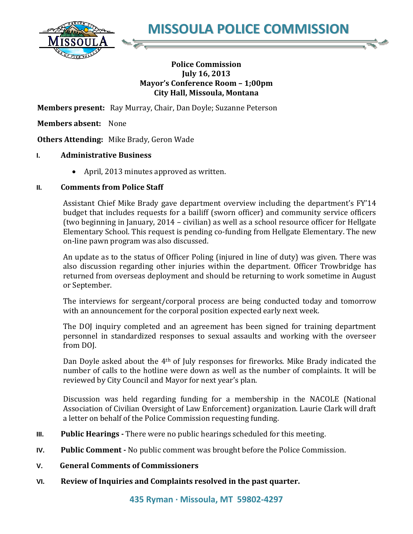

**MISSOULA POLICE COMMISSION**

## **Police Commission July 16, 2013 Mayor's Conference Room – 1;00pm City Hall, Missoula, Montana**

**Members present:** Ray Murray, Chair, Dan Doyle; Suzanne Peterson

**Members absent:** None

**Others Attending:** Mike Brady, Geron Wade

## **I. Administrative Business**

April, 2013 minutes approved as written.

## **II. Comments from Police Staff**

Assistant Chief Mike Brady gave department overview including the department's FY'14 budget that includes requests for a bailiff (sworn officer) and community service officers (two beginning in January, 2014 – civilian) as well as a school resource officer for Hellgate Elementary School. This request is pending co-funding from Hellgate Elementary. The new on-line pawn program was also discussed.

An update as to the status of Officer Poling (injured in line of duty) was given. There was also discussion regarding other injuries within the department. Officer Trowbridge has returned from overseas deployment and should be returning to work sometime in August or September.

The interviews for sergeant/corporal process are being conducted today and tomorrow with an announcement for the corporal position expected early next week.

The DOJ inquiry completed and an agreement has been signed for training department personnel in standardized responses to sexual assaults and working with the overseer from DOJ.

Dan Doyle asked about the  $4<sup>th</sup>$  of July responses for fireworks. Mike Brady indicated the number of calls to the hotline were down as well as the number of complaints. It will be reviewed by City Council and Mayor for next year's plan.

Discussion was held regarding funding for a membership in the NACOLE (National Association of Civilian Oversight of Law Enforcement) organization. Laurie Clark will draft a letter on behalf of the Police Commission requesting funding.

- **III. Public Hearings -** There were no public hearings scheduled for this meeting.
- **IV. Public Comment -** No public comment was brought before the Police Commission.
- **V. General Comments of Commissioners**
- **VI. Review of Inquiries and Complaints resolved in the past quarter.**

**435 Ryman · Missoula, MT 59802-4297**